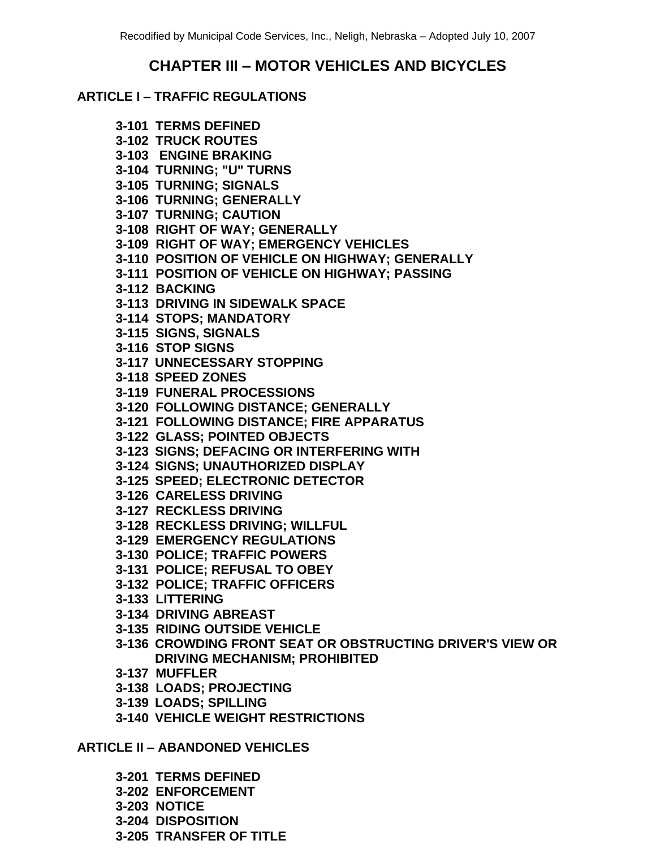# **CHAPTER III – MOTOR VEHICLES AND BICYCLES**

# **ARTICLE I – TRAFFIC REGULATIONS**

**3-101 TERMS DEFINED 3-102 TRUCK ROUTES 3-103 ENGINE BRAKING 3-104 TURNING; "U" TURNS 3-105 TURNING; SIGNALS 3-106 TURNING; GENERALLY 3-107 TURNING; CAUTION 3-108 RIGHT OF WAY; GENERALLY 3-109 RIGHT OF WAY; EMERGENCY VEHICLES 3-110 POSITION OF VEHICLE ON HIGHWAY; GENERALLY 3-111 POSITION OF VEHICLE ON HIGHWAY; PASSING 3-112 BACKING 3-113 DRIVING IN SIDEWALK SPACE 3-114 STOPS; MANDATORY 3-115 SIGNS, SIGNALS 3-116 STOP SIGNS 3-117 UNNECESSARY STOPPING 3-118 SPEED ZONES 3-119 FUNERAL PROCESSIONS 3-120 FOLLOWING DISTANCE; GENERALLY 3-121 FOLLOWING DISTANCE; FIRE APPARATUS 3-122 GLASS; POINTED OBJECTS 3-123 SIGNS; DEFACING OR INTERFERING WITH 3-124 SIGNS; UNAUTHORIZED DISPLAY 3-125 SPEED; ELECTRONIC DETECTOR 3-126 CARELESS DRIVING 3-127 RECKLESS DRIVING 3-128 RECKLESS DRIVING; WILLFUL 3-129 EMERGENCY REGULATIONS 3-130 POLICE; TRAFFIC POWERS 3-131 POLICE; REFUSAL TO OBEY 3-132 POLICE; TRAFFIC OFFICERS 3-133 LITTERING 3-134 DRIVING ABREAST 3-135 RIDING OUTSIDE VEHICLE 3-136 CROWDING FRONT SEAT OR OBSTRUCTING DRIVER'S VIEW OR DRIVING MECHANISM; PROHIBITED 3-137 MUFFLER 3-138 LOADS; PROJECTING 3-139 LOADS; SPILLING 3-140 VEHICLE WEIGHT RESTRICTIONS**

**ARTICLE II – ABANDONED VEHICLES**

**3-201 TERMS DEFINED**

- **3-202 ENFORCEMENT**
- **3-203 NOTICE**
- **3-204 DISPOSITION**
- **3-205 TRANSFER OF TITLE**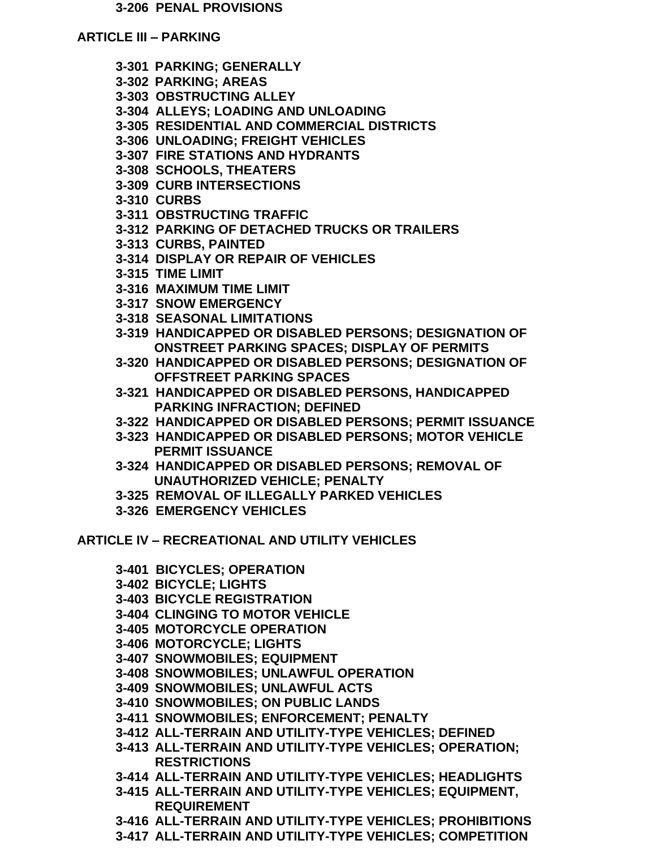#### **3-206 PENAL PROVISIONS**

#### **ARTICLE III – PARKING**

- **3-301 PARKING; GENERALLY**
- **3-302 PARKING; AREAS**
- **3-303 OBSTRUCTING ALLEY**
- **3-304 ALLEYS; LOADING AND UNLOADING**
- **3-305 RESIDENTIAL AND COMMERCIAL DISTRICTS**
- **3-306 UNLOADING; FREIGHT VEHICLES**
- **3-307 FIRE STATIONS AND HYDRANTS**
- **3-308 SCHOOLS, THEATERS**
- **3-309 CURB INTERSECTIONS**
- **3-310 CURBS**
- **3-311 OBSTRUCTING TRAFFIC**
- **3-312 PARKING OF DETACHED TRUCKS OR TRAILERS**
- **3-313 CURBS, PAINTED**
- **3-314 DISPLAY OR REPAIR OF VEHICLES**
- **3-315 TIME LIMIT**
- **3-316 MAXIMUM TIME LIMIT**
- **3-317 SNOW EMERGENCY**
- **3-318 SEASONAL LIMITATIONS**
- **3-319 HANDICAPPED OR DISABLED PERSONS; DESIGNATION OF ONSTREET PARKING SPACES; DISPLAY OF PERMITS**
- **3-320 HANDICAPPED OR DISABLED PERSONS; DESIGNATION OF OFFSTREET PARKING SPACES**
- **3-321 HANDICAPPED OR DISABLED PERSONS, HANDICAPPED PARKING INFRACTION; DEFINED**
- **3-322 HANDICAPPED OR DISABLED PERSONS; PERMIT ISSUANCE**
- **3-323 HANDICAPPED OR DISABLED PERSONS; MOTOR VEHICLE PERMIT ISSUANCE**
- **3-324 HANDICAPPED OR DISABLED PERSONS; REMOVAL OF UNAUTHORIZED VEHICLE; PENALTY**
- **3-325 REMOVAL OF ILLEGALLY PARKED VEHICLES**
- **3-326 EMERGENCY VEHICLES**

**ARTICLE IV – RECREATIONAL AND UTILITY VEHICLES**

- **3-401 BICYCLES; OPERATION**
- **3-402 BICYCLE; LIGHTS**
- **3-403 BICYCLE REGISTRATION**
- **3-404 CLINGING TO MOTOR VEHICLE**
- **3-405 MOTORCYCLE OPERATION**
- **3-406 MOTORCYCLE; LIGHTS**
- **3-407 SNOWMOBILES; EQUIPMENT**
- **3-408 SNOWMOBILES; UNLAWFUL OPERATION**
- **3-409 SNOWMOBILES; UNLAWFUL ACTS**
- **3-410 SNOWMOBILES; ON PUBLIC LANDS**
- **3-411 SNOWMOBILES; ENFORCEMENT; PENALTY**
- **3-412 ALL-TERRAIN AND UTILITY-TYPE VEHICLES; DEFINED**
- **3-413 ALL-TERRAIN AND UTILITY-TYPE VEHICLES; OPERATION; RESTRICTIONS**
- **3-414 ALL-TERRAIN AND UTILITY-TYPE VEHICLES; HEADLIGHTS**
- **3-415 ALL-TERRAIN AND UTILITY-TYPE VEHICLES; EQUIPMENT, REQUIREMENT**
- **3-416 ALL-TERRAIN AND UTILITY-TYPE VEHICLES; PROHIBITIONS**
- **3-417 ALL-TERRAIN AND UTILITY-TYPE VEHICLES; COMPETITION**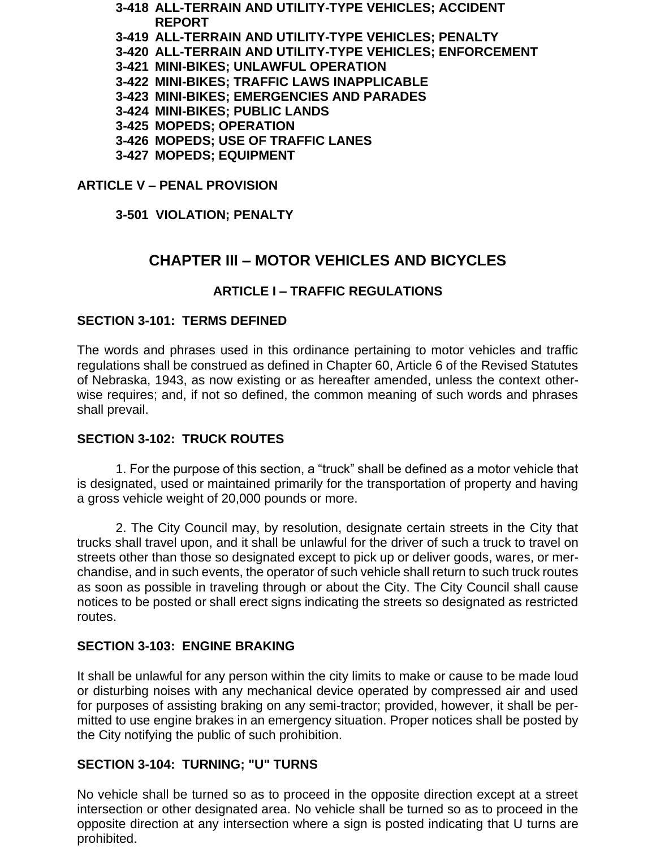**3-418 ALL-TERRAIN AND UTILITY-TYPE VEHICLES; ACCIDENT REPORT**

- **3-419 ALL-TERRAIN AND UTILITY-TYPE VEHICLES; PENALTY**
- **3-420 ALL-TERRAIN AND UTILITY-TYPE VEHICLES; ENFORCEMENT**
- **3-421 MINI-BIKES; UNLAWFUL OPERATION**
- **3-422 MINI-BIKES; TRAFFIC LAWS INAPPLICABLE**
- **3-423 MINI-BIKES; EMERGENCIES AND PARADES**
- **3-424 MINI-BIKES; PUBLIC LANDS**
- **3-425 MOPEDS; OPERATION**
- **3-426 MOPEDS; USE OF TRAFFIC LANES**
- **3-427 MOPEDS; EQUIPMENT**

# **ARTICLE V – PENAL PROVISION**

**3-501 VIOLATION; PENALTY**

# **CHAPTER III – MOTOR VEHICLES AND BICYCLES**

# **ARTICLE I – TRAFFIC REGULATIONS**

# **SECTION 3-101: TERMS DEFINED**

The words and phrases used in this ordinance pertaining to motor vehicles and traffic regulations shall be construed as defined in Chapter 60, Article 6 of the Revised Statutes of Nebraska, 1943, as now existing or as hereafter amended, unless the context otherwise requires; and, if not so defined, the common meaning of such words and phrases shall prevail.

# **SECTION 3-102: TRUCK ROUTES**

1. For the purpose of this section, a "truck" shall be defined as a motor vehicle that is designated, used or maintained primarily for the transportation of property and having a gross vehicle weight of 20,000 pounds or more.

2. The City Council may, by resolution, designate certain streets in the City that trucks shall travel upon, and it shall be unlawful for the driver of such a truck to travel on streets other than those so designated except to pick up or deliver goods, wares, or merchandise, and in such events, the operator of such vehicle shall return to such truck routes as soon as possible in traveling through or about the City. The City Council shall cause notices to be posted or shall erect signs indicating the streets so designated as restricted routes.

# **SECTION 3-103: ENGINE BRAKING**

It shall be unlawful for any person within the city limits to make or cause to be made loud or disturbing noises with any mechanical device operated by compressed air and used for purposes of assisting braking on any semi-tractor; provided, however, it shall be permitted to use engine brakes in an emergency situation. Proper notices shall be posted by the City notifying the public of such prohibition.

# **SECTION 3-104: TURNING; "U" TURNS**

No vehicle shall be turned so as to proceed in the opposite direction except at a street intersection or other designated area. No vehicle shall be turned so as to proceed in the opposite direction at any intersection where a sign is posted indicating that U turns are prohibited.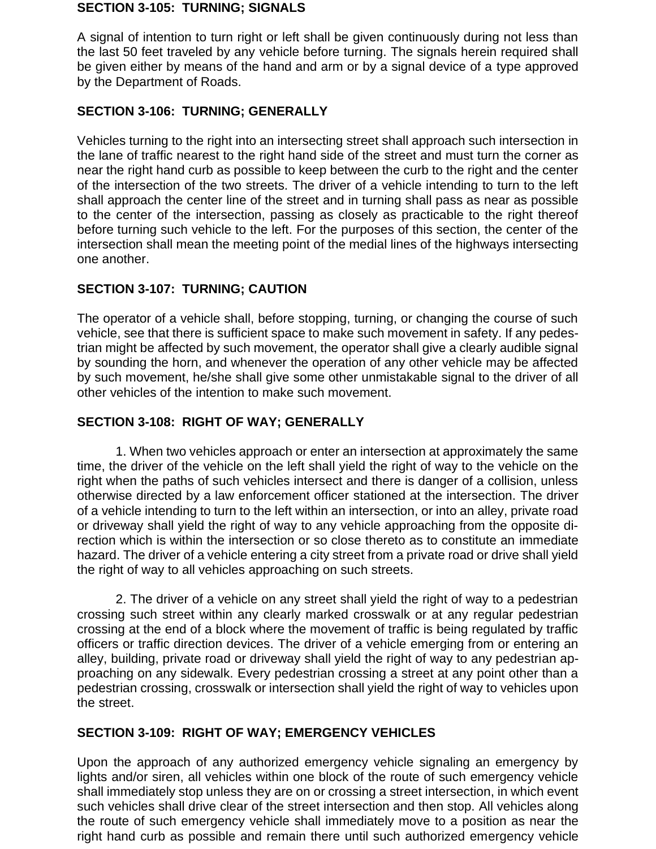#### **SECTION 3-105: TURNING; SIGNALS**

A signal of intention to turn right or left shall be given continuously during not less than the last 50 feet traveled by any vehicle before turning. The signals herein required shall be given either by means of the hand and arm or by a signal device of a type approved by the Department of Roads.

## **SECTION 3-106: TURNING; GENERALLY**

Vehicles turning to the right into an intersecting street shall approach such intersection in the lane of traffic nearest to the right hand side of the street and must turn the corner as near the right hand curb as possible to keep between the curb to the right and the center of the intersection of the two streets. The driver of a vehicle intending to turn to the left shall approach the center line of the street and in turning shall pass as near as possible to the center of the intersection, passing as closely as practicable to the right thereof before turning such vehicle to the left. For the purposes of this section, the center of the intersection shall mean the meeting point of the medial lines of the highways intersecting one another.

# **SECTION 3-107: TURNING; CAUTION**

The operator of a vehicle shall, before stopping, turning, or changing the course of such vehicle, see that there is sufficient space to make such movement in safety. If any pedestrian might be affected by such movement, the operator shall give a clearly audible signal by sounding the horn, and whenever the operation of any other vehicle may be affected by such movement, he/she shall give some other unmistakable signal to the driver of all other vehicles of the intention to make such movement.

## **SECTION 3-108: RIGHT OF WAY; GENERALLY**

1. When two vehicles approach or enter an intersection at approximately the same time, the driver of the vehicle on the left shall yield the right of way to the vehicle on the right when the paths of such vehicles intersect and there is danger of a collision, unless otherwise directed by a law enforcement officer stationed at the intersection. The driver of a vehicle intending to turn to the left within an intersection, or into an alley, private road or driveway shall yield the right of way to any vehicle approaching from the opposite direction which is within the intersection or so close thereto as to constitute an immediate hazard. The driver of a vehicle entering a city street from a private road or drive shall yield the right of way to all vehicles approaching on such streets.

2. The driver of a vehicle on any street shall yield the right of way to a pedestrian crossing such street within any clearly marked crosswalk or at any regular pedestrian crossing at the end of a block where the movement of traffic is being regulated by traffic officers or traffic direction devices. The driver of a vehicle emerging from or entering an alley, building, private road or driveway shall yield the right of way to any pedestrian approaching on any sidewalk. Every pedestrian crossing a street at any point other than a pedestrian crossing, crosswalk or intersection shall yield the right of way to vehicles upon the street.

## **SECTION 3-109: RIGHT OF WAY; EMERGENCY VEHICLES**

Upon the approach of any authorized emergency vehicle signaling an emergency by lights and/or siren, all vehicles within one block of the route of such emergency vehicle shall immediately stop unless they are on or crossing a street intersection, in which event such vehicles shall drive clear of the street intersection and then stop. All vehicles along the route of such emergency vehicle shall immediately move to a position as near the right hand curb as possible and remain there until such authorized emergency vehicle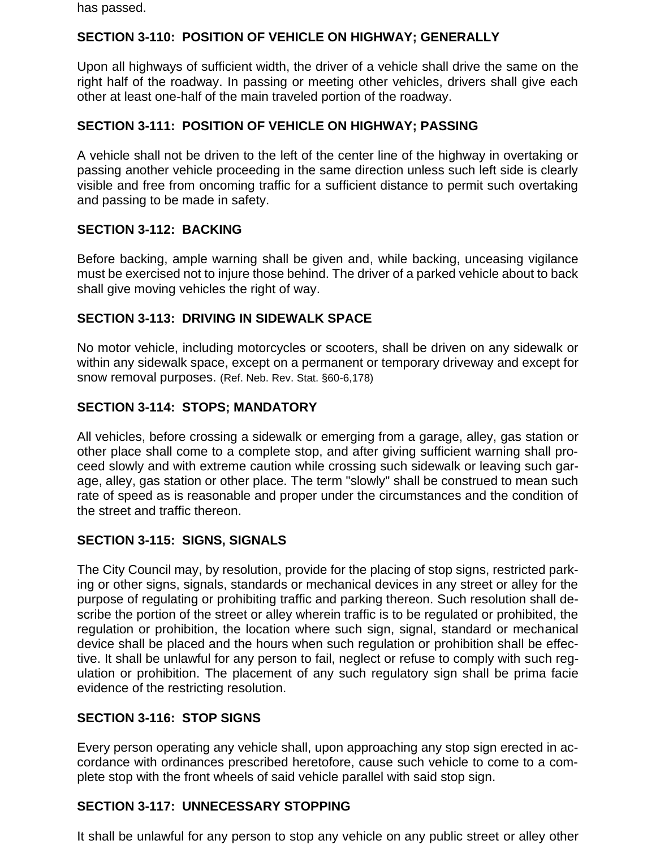has passed.

# **SECTION 3-110: POSITION OF VEHICLE ON HIGHWAY; GENERALLY**

Upon all highways of sufficient width, the driver of a vehicle shall drive the same on the right half of the roadway. In passing or meeting other vehicles, drivers shall give each other at least one-half of the main traveled portion of the roadway.

# **SECTION 3-111: POSITION OF VEHICLE ON HIGHWAY; PASSING**

A vehicle shall not be driven to the left of the center line of the highway in overtaking or passing another vehicle proceeding in the same direction unless such left side is clearly visible and free from oncoming traffic for a sufficient distance to permit such overtaking and passing to be made in safety.

# **SECTION 3-112: BACKING**

Before backing, ample warning shall be given and, while backing, unceasing vigilance must be exercised not to injure those behind. The driver of a parked vehicle about to back shall give moving vehicles the right of way.

# **SECTION 3-113: DRIVING IN SIDEWALK SPACE**

No motor vehicle, including motorcycles or scooters, shall be driven on any sidewalk or within any sidewalk space, except on a permanent or temporary driveway and except for snow removal purposes. (Ref. Neb. Rev. Stat. §60-6,178)

# **SECTION 3-114: STOPS; MANDATORY**

All vehicles, before crossing a sidewalk or emerging from a garage, alley, gas station or other place shall come to a complete stop, and after giving sufficient warning shall proceed slowly and with extreme caution while crossing such sidewalk or leaving such garage, alley, gas station or other place. The term "slowly" shall be construed to mean such rate of speed as is reasonable and proper under the circumstances and the condition of the street and traffic thereon.

## **SECTION 3-115: SIGNS, SIGNALS**

The City Council may, by resolution, provide for the placing of stop signs, restricted parking or other signs, signals, standards or mechanical devices in any street or alley for the purpose of regulating or prohibiting traffic and parking thereon. Such resolution shall describe the portion of the street or alley wherein traffic is to be regulated or prohibited, the regulation or prohibition, the location where such sign, signal, standard or mechanical device shall be placed and the hours when such regulation or prohibition shall be effective. It shall be unlawful for any person to fail, neglect or refuse to comply with such regulation or prohibition. The placement of any such regulatory sign shall be prima facie evidence of the restricting resolution.

# **SECTION 3-116: STOP SIGNS**

Every person operating any vehicle shall, upon approaching any stop sign erected in accordance with ordinances prescribed heretofore, cause such vehicle to come to a complete stop with the front wheels of said vehicle parallel with said stop sign.

# **SECTION 3-117: UNNECESSARY STOPPING**

It shall be unlawful for any person to stop any vehicle on any public street or alley other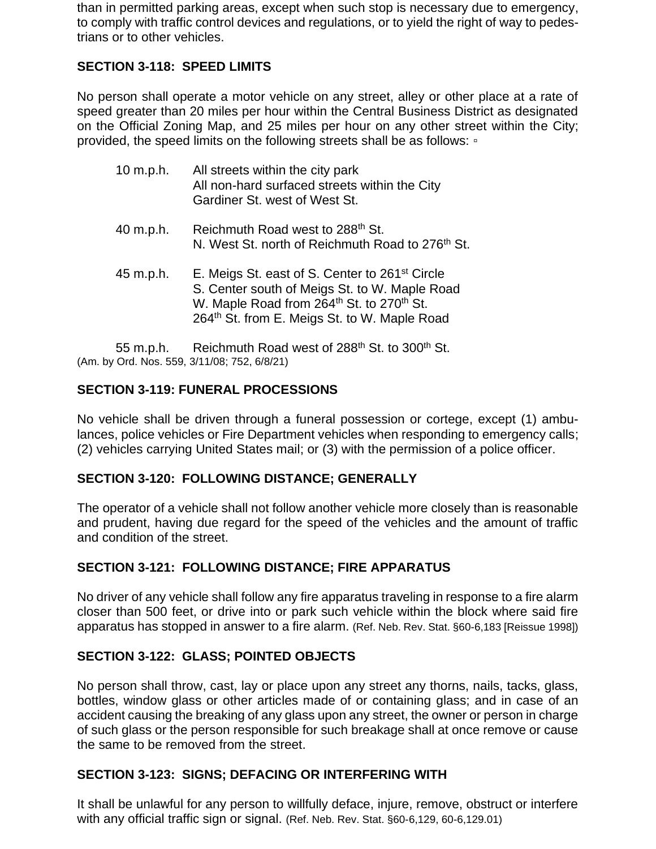than in permitted parking areas, except when such stop is necessary due to emergency, to comply with traffic control devices and regulations, or to yield the right of way to pedestrians or to other vehicles.

# **SECTION 3-118: SPEED LIMITS**

No person shall operate a motor vehicle on any street, alley or other place at a rate of speed greater than 20 miles per hour within the Central Business District as designated on the Official Zoning Map, and 25 miles per hour on any other street within the City; provided, the speed limits on the following streets shall be as follows:  $\cdot$ 

| $10$ m.p.h. | All streets within the city park<br>All non-hard surfaced streets within the City<br>Gardiner St. west of West St.                                                                                                                                                                                                                                                                                                                                                                         |
|-------------|--------------------------------------------------------------------------------------------------------------------------------------------------------------------------------------------------------------------------------------------------------------------------------------------------------------------------------------------------------------------------------------------------------------------------------------------------------------------------------------------|
| 40 m.p.h.   | Reichmuth Road west to 288 <sup>th</sup> St.<br>N. West St. north of Reichmuth Road to 276 <sup>th</sup> St.                                                                                                                                                                                                                                                                                                                                                                               |
| 45 m.p.h.   | E. Meigs St. east of S. Center to 261 <sup>st</sup> Circle<br>S. Center south of Meigs St. to W. Maple Road<br>W. Maple Road from 264 <sup>th</sup> St. to 270 <sup>th</sup> St.<br>264th St. from E. Meigs St. to W. Maple Road                                                                                                                                                                                                                                                           |
|             | $\blacksquare$ $\blacksquare$ $\blacksquare$ $\blacksquare$ $\blacksquare$ $\blacksquare$ $\blacksquare$ $\blacksquare$ $\blacksquare$ $\blacksquare$ $\blacksquare$ $\blacksquare$ $\blacksquare$ $\blacksquare$ $\blacksquare$ $\blacksquare$ $\blacksquare$ $\blacksquare$ $\blacksquare$ $\blacksquare$ $\blacksquare$ $\blacksquare$ $\blacksquare$ $\blacksquare$ $\blacksquare$ $\blacksquare$ $\blacksquare$ $\blacksquare$ $\blacksquare$ $\blacksquare$ $\blacksquare$ $\blacks$ |

55 m.p.h. Reichmuth Road west of 288<sup>th</sup> St. to 300<sup>th</sup> St. (Am. by Ord. Nos. 559, 3/11/08; 752, 6/8/21)

# **SECTION 3-119: FUNERAL PROCESSIONS**

No vehicle shall be driven through a funeral possession or cortege, except (1) ambulances, police vehicles or Fire Department vehicles when responding to emergency calls; (2) vehicles carrying United States mail; or (3) with the permission of a police officer.

## **SECTION 3-120: FOLLOWING DISTANCE; GENERALLY**

The operator of a vehicle shall not follow another vehicle more closely than is reasonable and prudent, having due regard for the speed of the vehicles and the amount of traffic and condition of the street.

## **SECTION 3-121: FOLLOWING DISTANCE; FIRE APPARATUS**

No driver of any vehicle shall follow any fire apparatus traveling in response to a fire alarm closer than 500 feet, or drive into or park such vehicle within the block where said fire apparatus has stopped in answer to a fire alarm. (Ref. Neb. Rev. Stat. §60-6,183 [Reissue 1998])

## **SECTION 3-122: GLASS; POINTED OBJECTS**

No person shall throw, cast, lay or place upon any street any thorns, nails, tacks, glass, bottles, window glass or other articles made of or containing glass; and in case of an accident causing the breaking of any glass upon any street, the owner or person in charge of such glass or the person responsible for such breakage shall at once remove or cause the same to be removed from the street.

## **SECTION 3-123: SIGNS; DEFACING OR INTERFERING WITH**

It shall be unlawful for any person to willfully deface, injure, remove, obstruct or interfere with any official traffic sign or signal. (Ref. Neb. Rev. Stat. §60-6,129, 60-6,129.01)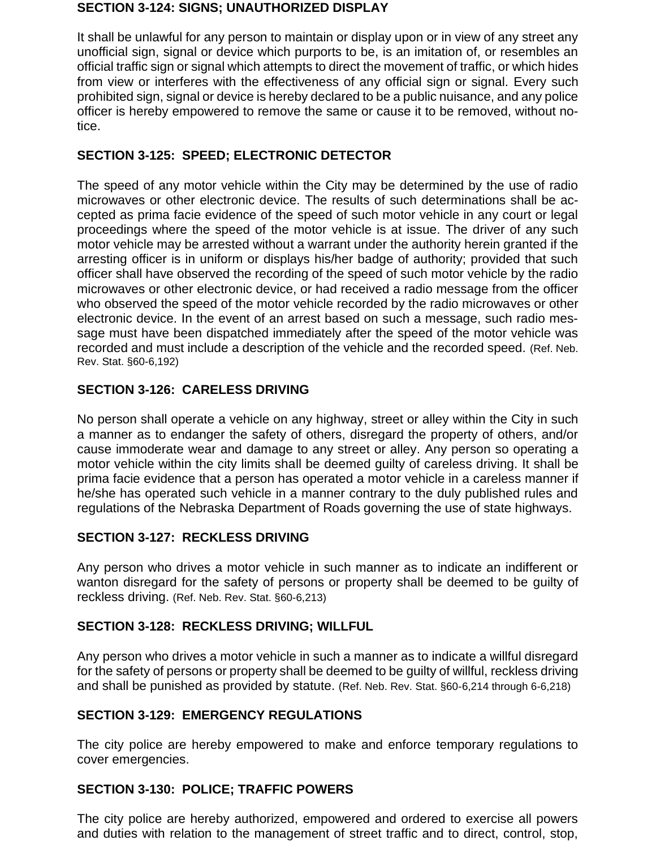#### **SECTION 3-124: SIGNS; UNAUTHORIZED DISPLAY**

It shall be unlawful for any person to maintain or display upon or in view of any street any unofficial sign, signal or device which purports to be, is an imitation of, or resembles an official traffic sign or signal which attempts to direct the movement of traffic, or which hides from view or interferes with the effectiveness of any official sign or signal. Every such prohibited sign, signal or device is hereby declared to be a public nuisance, and any police officer is hereby empowered to remove the same or cause it to be removed, without notice.

# **SECTION 3-125: SPEED; ELECTRONIC DETECTOR**

The speed of any motor vehicle within the City may be determined by the use of radio microwaves or other electronic device. The results of such determinations shall be accepted as prima facie evidence of the speed of such motor vehicle in any court or legal proceedings where the speed of the motor vehicle is at issue. The driver of any such motor vehicle may be arrested without a warrant under the authority herein granted if the arresting officer is in uniform or displays his/her badge of authority; provided that such officer shall have observed the recording of the speed of such motor vehicle by the radio microwaves or other electronic device, or had received a radio message from the officer who observed the speed of the motor vehicle recorded by the radio microwaves or other electronic device. In the event of an arrest based on such a message, such radio message must have been dispatched immediately after the speed of the motor vehicle was recorded and must include a description of the vehicle and the recorded speed. (Ref. Neb. Rev. Stat. §60-6,192)

# **SECTION 3-126: CARELESS DRIVING**

No person shall operate a vehicle on any highway, street or alley within the City in such a manner as to endanger the safety of others, disregard the property of others, and/or cause immoderate wear and damage to any street or alley. Any person so operating a motor vehicle within the city limits shall be deemed guilty of careless driving. It shall be prima facie evidence that a person has operated a motor vehicle in a careless manner if he/she has operated such vehicle in a manner contrary to the duly published rules and regulations of the Nebraska Department of Roads governing the use of state highways.

# **SECTION 3-127: RECKLESS DRIVING**

Any person who drives a motor vehicle in such manner as to indicate an indifferent or wanton disregard for the safety of persons or property shall be deemed to be guilty of reckless driving. (Ref. Neb. Rev. Stat. §60-6,213)

# **SECTION 3-128: RECKLESS DRIVING; WILLFUL**

Any person who drives a motor vehicle in such a manner as to indicate a willful disregard for the safety of persons or property shall be deemed to be guilty of willful, reckless driving and shall be punished as provided by statute. (Ref. Neb. Rev. Stat. §60-6,214 through 6-6,218)

## **SECTION 3-129: EMERGENCY REGULATIONS**

The city police are hereby empowered to make and enforce temporary regulations to cover emergencies.

## **SECTION 3-130: POLICE; TRAFFIC POWERS**

The city police are hereby authorized, empowered and ordered to exercise all powers and duties with relation to the management of street traffic and to direct, control, stop,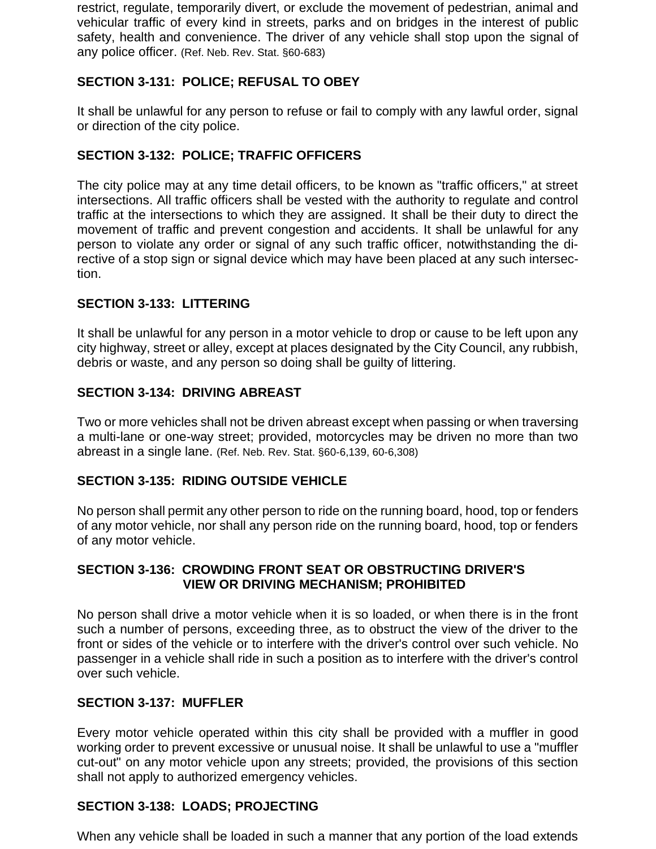restrict, regulate, temporarily divert, or exclude the movement of pedestrian, animal and vehicular traffic of every kind in streets, parks and on bridges in the interest of public safety, health and convenience. The driver of any vehicle shall stop upon the signal of any police officer. (Ref. Neb. Rev. Stat. §60-683)

# **SECTION 3-131: POLICE; REFUSAL TO OBEY**

It shall be unlawful for any person to refuse or fail to comply with any lawful order, signal or direction of the city police.

# **SECTION 3-132: POLICE; TRAFFIC OFFICERS**

The city police may at any time detail officers, to be known as "traffic officers," at street intersections. All traffic officers shall be vested with the authority to regulate and control traffic at the intersections to which they are assigned. It shall be their duty to direct the movement of traffic and prevent congestion and accidents. It shall be unlawful for any person to violate any order or signal of any such traffic officer, notwithstanding the directive of a stop sign or signal device which may have been placed at any such intersection.

# **SECTION 3-133: LITTERING**

It shall be unlawful for any person in a motor vehicle to drop or cause to be left upon any city highway, street or alley, except at places designated by the City Council, any rubbish, debris or waste, and any person so doing shall be guilty of littering.

# **SECTION 3-134: DRIVING ABREAST**

Two or more vehicles shall not be driven abreast except when passing or when traversing a multi-lane or one-way street; provided, motorcycles may be driven no more than two abreast in a single lane. (Ref. Neb. Rev. Stat. §60-6,139, 60-6,308)

## **SECTION 3-135: RIDING OUTSIDE VEHICLE**

No person shall permit any other person to ride on the running board, hood, top or fenders of any motor vehicle, nor shall any person ride on the running board, hood, top or fenders of any motor vehicle.

# **SECTION 3-136: CROWDING FRONT SEAT OR OBSTRUCTING DRIVER'S VIEW OR DRIVING MECHANISM; PROHIBITED**

No person shall drive a motor vehicle when it is so loaded, or when there is in the front such a number of persons, exceeding three, as to obstruct the view of the driver to the front or sides of the vehicle or to interfere with the driver's control over such vehicle. No passenger in a vehicle shall ride in such a position as to interfere with the driver's control over such vehicle.

## **SECTION 3-137: MUFFLER**

Every motor vehicle operated within this city shall be provided with a muffler in good working order to prevent excessive or unusual noise. It shall be unlawful to use a "muffler cut-out" on any motor vehicle upon any streets; provided, the provisions of this section shall not apply to authorized emergency vehicles.

## **SECTION 3-138: LOADS; PROJECTING**

When any vehicle shall be loaded in such a manner that any portion of the load extends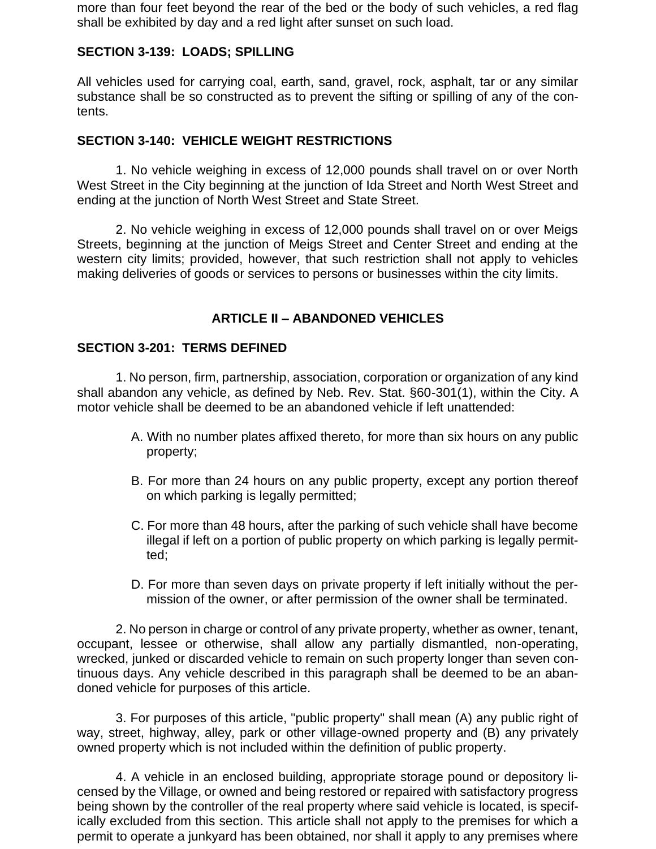more than four feet beyond the rear of the bed or the body of such vehicles, a red flag shall be exhibited by day and a red light after sunset on such load.

## **SECTION 3-139: LOADS; SPILLING**

All vehicles used for carrying coal, earth, sand, gravel, rock, asphalt, tar or any similar substance shall be so constructed as to prevent the sifting or spilling of any of the contents.

## **SECTION 3-140: VEHICLE WEIGHT RESTRICTIONS**

1. No vehicle weighing in excess of 12,000 pounds shall travel on or over North West Street in the City beginning at the junction of Ida Street and North West Street and ending at the junction of North West Street and State Street.

2. No vehicle weighing in excess of 12,000 pounds shall travel on or over Meigs Streets, beginning at the junction of Meigs Street and Center Street and ending at the western city limits; provided, however, that such restriction shall not apply to vehicles making deliveries of goods or services to persons or businesses within the city limits.

# **ARTICLE II – ABANDONED VEHICLES**

#### **SECTION 3-201: TERMS DEFINED**

1. No person, firm, partnership, association, corporation or organization of any kind shall abandon any vehicle, as defined by Neb. Rev. Stat. §60-301(1), within the City. A motor vehicle shall be deemed to be an abandoned vehicle if left unattended:

- A. With no number plates affixed thereto, for more than six hours on any public property;
- B. For more than 24 hours on any public property, except any portion thereof on which parking is legally permitted;
- C. For more than 48 hours, after the parking of such vehicle shall have become illegal if left on a portion of public property on which parking is legally permitted;
- D. For more than seven days on private property if left initially without the permission of the owner, or after permission of the owner shall be terminated.

2. No person in charge or control of any private property, whether as owner, tenant, occupant, lessee or otherwise, shall allow any partially dismantled, non-operating, wrecked, junked or discarded vehicle to remain on such property longer than seven continuous days. Any vehicle described in this paragraph shall be deemed to be an abandoned vehicle for purposes of this article.

3. For purposes of this article, "public property" shall mean (A) any public right of way, street, highway, alley, park or other village-owned property and (B) any privately owned property which is not included within the definition of public property.

4. A vehicle in an enclosed building, appropriate storage pound or depository licensed by the Village, or owned and being restored or repaired with satisfactory progress being shown by the controller of the real property where said vehicle is located, is specifically excluded from this section. This article shall not apply to the premises for which a permit to operate a junkyard has been obtained, nor shall it apply to any premises where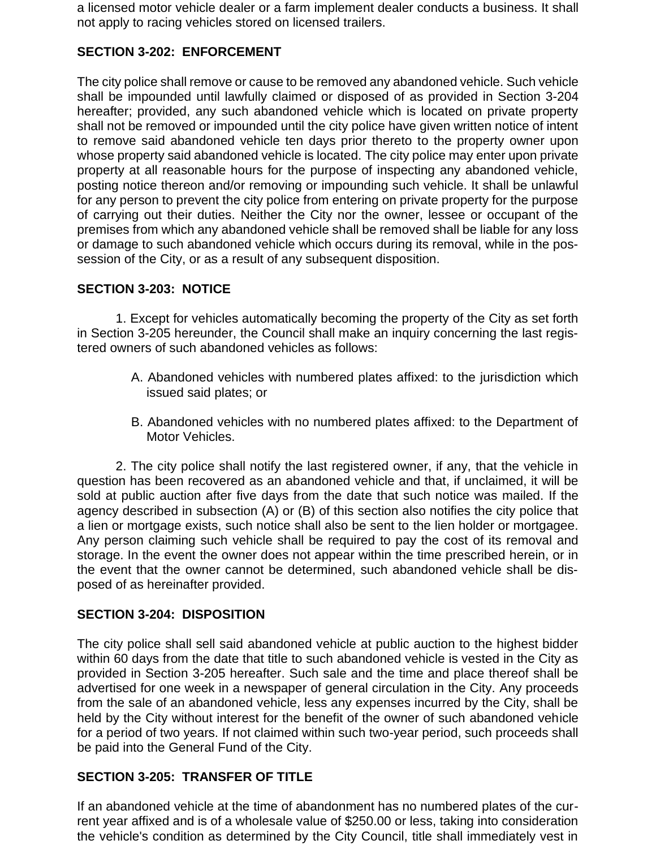a licensed motor vehicle dealer or a farm implement dealer conducts a business. It shall not apply to racing vehicles stored on licensed trailers.

# **SECTION 3-202: ENFORCEMENT**

The city police shall remove or cause to be removed any abandoned vehicle. Such vehicle shall be impounded until lawfully claimed or disposed of as provided in Section 3-204 hereafter; provided, any such abandoned vehicle which is located on private property shall not be removed or impounded until the city police have given written notice of intent to remove said abandoned vehicle ten days prior thereto to the property owner upon whose property said abandoned vehicle is located. The city police may enter upon private property at all reasonable hours for the purpose of inspecting any abandoned vehicle, posting notice thereon and/or removing or impounding such vehicle. It shall be unlawful for any person to prevent the city police from entering on private property for the purpose of carrying out their duties. Neither the City nor the owner, lessee or occupant of the premises from which any abandoned vehicle shall be removed shall be liable for any loss or damage to such abandoned vehicle which occurs during its removal, while in the possession of the City, or as a result of any subsequent disposition.

# **SECTION 3-203: NOTICE**

1. Except for vehicles automatically becoming the property of the City as set forth in Section 3-205 hereunder, the Council shall make an inquiry concerning the last registered owners of such abandoned vehicles as follows:

- A. Abandoned vehicles with numbered plates affixed: to the jurisdiction which issued said plates; or
- B. Abandoned vehicles with no numbered plates affixed: to the Department of Motor Vehicles.

2. The city police shall notify the last registered owner, if any, that the vehicle in question has been recovered as an abandoned vehicle and that, if unclaimed, it will be sold at public auction after five days from the date that such notice was mailed. If the agency described in subsection (A) or (B) of this section also notifies the city police that a lien or mortgage exists, such notice shall also be sent to the lien holder or mortgagee. Any person claiming such vehicle shall be required to pay the cost of its removal and storage. In the event the owner does not appear within the time prescribed herein, or in the event that the owner cannot be determined, such abandoned vehicle shall be disposed of as hereinafter provided.

## **SECTION 3-204: DISPOSITION**

The city police shall sell said abandoned vehicle at public auction to the highest bidder within 60 days from the date that title to such abandoned vehicle is vested in the City as provided in Section 3-205 hereafter. Such sale and the time and place thereof shall be advertised for one week in a newspaper of general circulation in the City. Any proceeds from the sale of an abandoned vehicle, less any expenses incurred by the City, shall be held by the City without interest for the benefit of the owner of such abandoned vehicle for a period of two years. If not claimed within such two-year period, such proceeds shall be paid into the General Fund of the City.

## **SECTION 3-205: TRANSFER OF TITLE**

If an abandoned vehicle at the time of abandonment has no numbered plates of the current year affixed and is of a wholesale value of \$250.00 or less, taking into consideration the vehicle's condition as determined by the City Council, title shall immediately vest in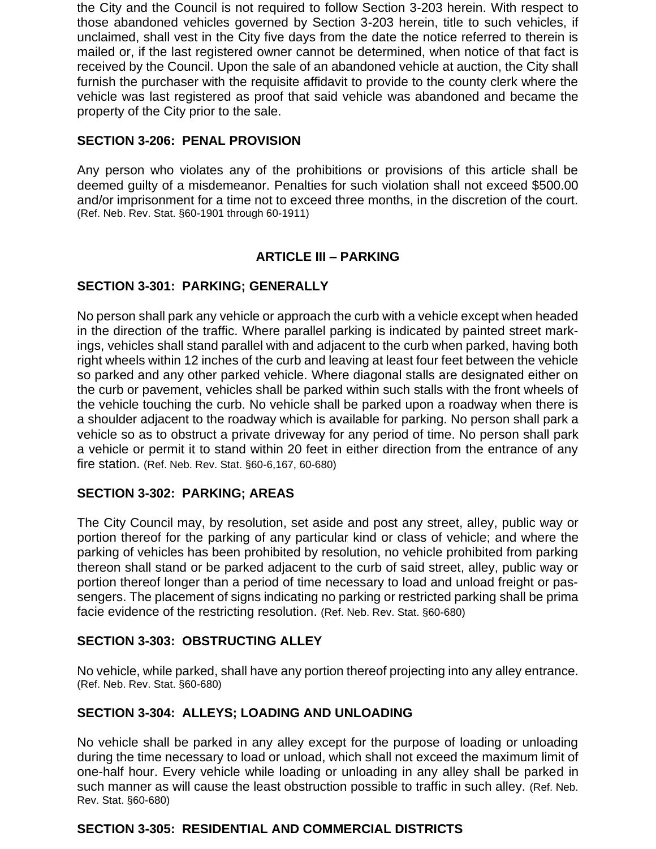the City and the Council is not required to follow Section 3-203 herein. With respect to those abandoned vehicles governed by Section 3-203 herein, title to such vehicles, if unclaimed, shall vest in the City five days from the date the notice referred to therein is mailed or, if the last registered owner cannot be determined, when notice of that fact is received by the Council. Upon the sale of an abandoned vehicle at auction, the City shall furnish the purchaser with the requisite affidavit to provide to the county clerk where the vehicle was last registered as proof that said vehicle was abandoned and became the property of the City prior to the sale.

# **SECTION 3-206: PENAL PROVISION**

Any person who violates any of the prohibitions or provisions of this article shall be deemed guilty of a misdemeanor. Penalties for such violation shall not exceed \$500.00 and/or imprisonment for a time not to exceed three months, in the discretion of the court. (Ref. Neb. Rev. Stat. §60-1901 through 60-1911)

# **ARTICLE III – PARKING**

# **SECTION 3-301: PARKING; GENERALLY**

No person shall park any vehicle or approach the curb with a vehicle except when headed in the direction of the traffic. Where parallel parking is indicated by painted street markings, vehicles shall stand parallel with and adjacent to the curb when parked, having both right wheels within 12 inches of the curb and leaving at least four feet between the vehicle so parked and any other parked vehicle. Where diagonal stalls are designated either on the curb or pavement, vehicles shall be parked within such stalls with the front wheels of the vehicle touching the curb. No vehicle shall be parked upon a roadway when there is a shoulder adjacent to the roadway which is available for parking. No person shall park a vehicle so as to obstruct a private driveway for any period of time. No person shall park a vehicle or permit it to stand within 20 feet in either direction from the entrance of any fire station. (Ref. Neb. Rev. Stat. §60-6,167, 60-680)

## **SECTION 3-302: PARKING; AREAS**

The City Council may, by resolution, set aside and post any street, alley, public way or portion thereof for the parking of any particular kind or class of vehicle; and where the parking of vehicles has been prohibited by resolution, no vehicle prohibited from parking thereon shall stand or be parked adjacent to the curb of said street, alley, public way or portion thereof longer than a period of time necessary to load and unload freight or passengers. The placement of signs indicating no parking or restricted parking shall be prima facie evidence of the restricting resolution. (Ref. Neb. Rev. Stat. §60-680)

## **SECTION 3-303: OBSTRUCTING ALLEY**

No vehicle, while parked, shall have any portion thereof projecting into any alley entrance. (Ref. Neb. Rev. Stat. §60-680)

## **SECTION 3-304: ALLEYS; LOADING AND UNLOADING**

No vehicle shall be parked in any alley except for the purpose of loading or unloading during the time necessary to load or unload, which shall not exceed the maximum limit of one-half hour. Every vehicle while loading or unloading in any alley shall be parked in such manner as will cause the least obstruction possible to traffic in such alley. (Ref. Neb. Rev. Stat. §60-680)

## **SECTION 3-305: RESIDENTIAL AND COMMERCIAL DISTRICTS**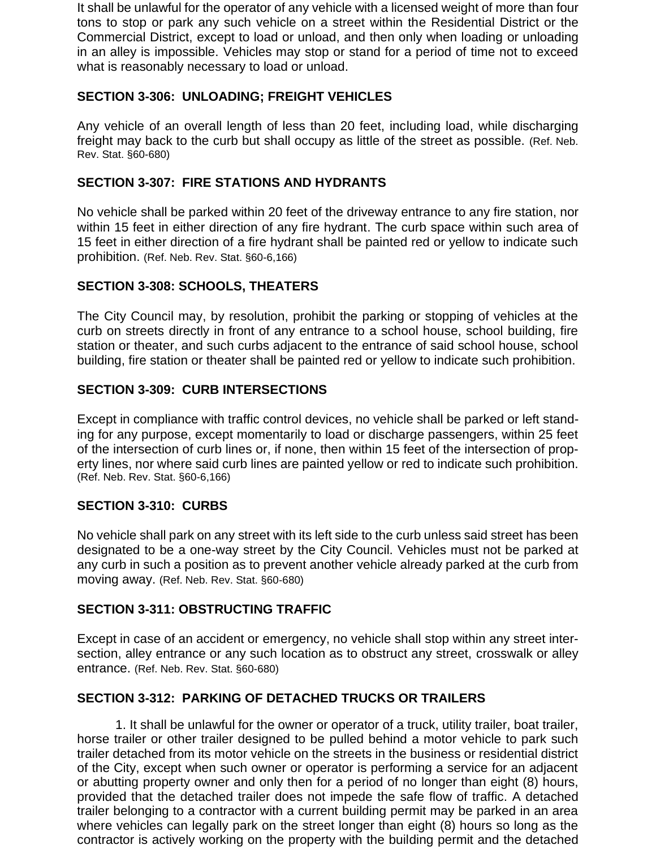It shall be unlawful for the operator of any vehicle with a licensed weight of more than four tons to stop or park any such vehicle on a street within the Residential District or the Commercial District, except to load or unload, and then only when loading or unloading in an alley is impossible. Vehicles may stop or stand for a period of time not to exceed what is reasonably necessary to load or unload.

# **SECTION 3-306: UNLOADING; FREIGHT VEHICLES**

Any vehicle of an overall length of less than 20 feet, including load, while discharging freight may back to the curb but shall occupy as little of the street as possible. (Ref. Neb. Rev. Stat. §60-680)

# **SECTION 3-307: FIRE STATIONS AND HYDRANTS**

No vehicle shall be parked within 20 feet of the driveway entrance to any fire station, nor within 15 feet in either direction of any fire hydrant. The curb space within such area of 15 feet in either direction of a fire hydrant shall be painted red or yellow to indicate such prohibition. (Ref. Neb. Rev. Stat. §60-6,166)

# **SECTION 3-308: SCHOOLS, THEATERS**

The City Council may, by resolution, prohibit the parking or stopping of vehicles at the curb on streets directly in front of any entrance to a school house, school building, fire station or theater, and such curbs adjacent to the entrance of said school house, school building, fire station or theater shall be painted red or yellow to indicate such prohibition.

# **SECTION 3-309: CURB INTERSECTIONS**

Except in compliance with traffic control devices, no vehicle shall be parked or left standing for any purpose, except momentarily to load or discharge passengers, within 25 feet of the intersection of curb lines or, if none, then within 15 feet of the intersection of property lines, nor where said curb lines are painted yellow or red to indicate such prohibition. (Ref. Neb. Rev. Stat. §60-6,166)

## **SECTION 3-310: CURBS**

No vehicle shall park on any street with its left side to the curb unless said street has been designated to be a one-way street by the City Council. Vehicles must not be parked at any curb in such a position as to prevent another vehicle already parked at the curb from moving away. (Ref. Neb. Rev. Stat. §60-680)

## **SECTION 3-311: OBSTRUCTING TRAFFIC**

Except in case of an accident or emergency, no vehicle shall stop within any street intersection, alley entrance or any such location as to obstruct any street, crosswalk or alley entrance. (Ref. Neb. Rev. Stat. §60-680)

# **SECTION 3-312: PARKING OF DETACHED TRUCKS OR TRAILERS**

1. It shall be unlawful for the owner or operator of a truck, utility trailer, boat trailer, horse trailer or other trailer designed to be pulled behind a motor vehicle to park such trailer detached from its motor vehicle on the streets in the business or residential district of the City, except when such owner or operator is performing a service for an adjacent or abutting property owner and only then for a period of no longer than eight (8) hours, provided that the detached trailer does not impede the safe flow of traffic. A detached trailer belonging to a contractor with a current building permit may be parked in an area where vehicles can legally park on the street longer than eight (8) hours so long as the contractor is actively working on the property with the building permit and the detached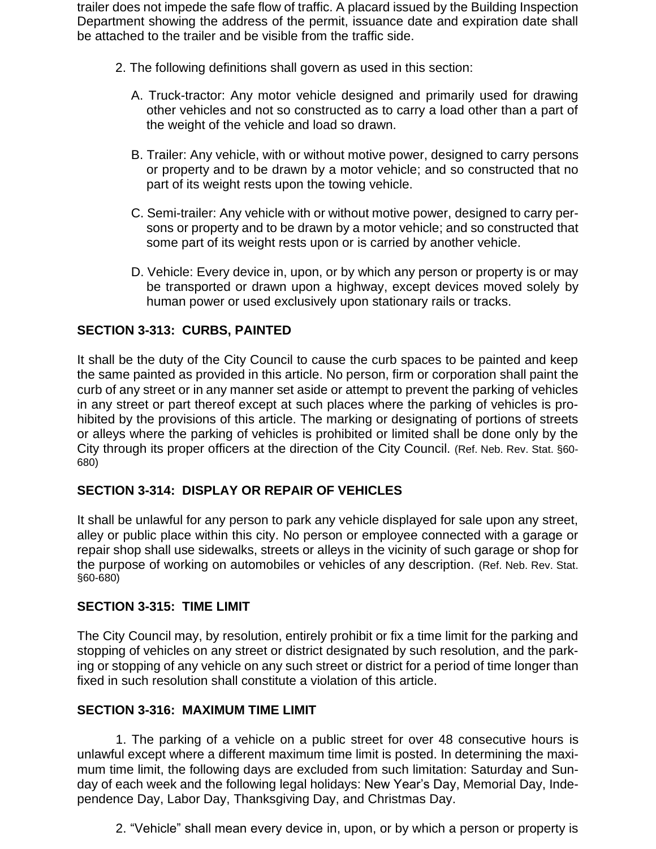trailer does not impede the safe flow of traffic. A placard issued by the Building Inspection Department showing the address of the permit, issuance date and expiration date shall be attached to the trailer and be visible from the traffic side.

- 2. The following definitions shall govern as used in this section:
	- A. Truck-tractor: Any motor vehicle designed and primarily used for drawing other vehicles and not so constructed as to carry a load other than a part of the weight of the vehicle and load so drawn.
	- B. Trailer: Any vehicle, with or without motive power, designed to carry persons or property and to be drawn by a motor vehicle; and so constructed that no part of its weight rests upon the towing vehicle.
	- C. Semi-trailer: Any vehicle with or without motive power, designed to carry persons or property and to be drawn by a motor vehicle; and so constructed that some part of its weight rests upon or is carried by another vehicle.
	- D. Vehicle: Every device in, upon, or by which any person or property is or may be transported or drawn upon a highway, except devices moved solely by human power or used exclusively upon stationary rails or tracks.

# **SECTION 3-313: CURBS, PAINTED**

It shall be the duty of the City Council to cause the curb spaces to be painted and keep the same painted as provided in this article. No person, firm or corporation shall paint the curb of any street or in any manner set aside or attempt to prevent the parking of vehicles in any street or part thereof except at such places where the parking of vehicles is prohibited by the provisions of this article. The marking or designating of portions of streets or alleys where the parking of vehicles is prohibited or limited shall be done only by the City through its proper officers at the direction of the City Council. (Ref. Neb. Rev. Stat. §60- 680)

## **SECTION 3-314: DISPLAY OR REPAIR OF VEHICLES**

It shall be unlawful for any person to park any vehicle displayed for sale upon any street, alley or public place within this city. No person or employee connected with a garage or repair shop shall use sidewalks, streets or alleys in the vicinity of such garage or shop for the purpose of working on automobiles or vehicles of any description. (Ref. Neb. Rev. Stat. §60-680)

## **SECTION 3-315: TIME LIMIT**

The City Council may, by resolution, entirely prohibit or fix a time limit for the parking and stopping of vehicles on any street or district designated by such resolution, and the parking or stopping of any vehicle on any such street or district for a period of time longer than fixed in such resolution shall constitute a violation of this article.

## **SECTION 3-316: MAXIMUM TIME LIMIT**

1. The parking of a vehicle on a public street for over 48 consecutive hours is unlawful except where a different maximum time limit is posted. In determining the maximum time limit, the following days are excluded from such limitation: Saturday and Sunday of each week and the following legal holidays: New Year's Day, Memorial Day, Independence Day, Labor Day, Thanksgiving Day, and Christmas Day.

2. "Vehicle" shall mean every device in, upon, or by which a person or property is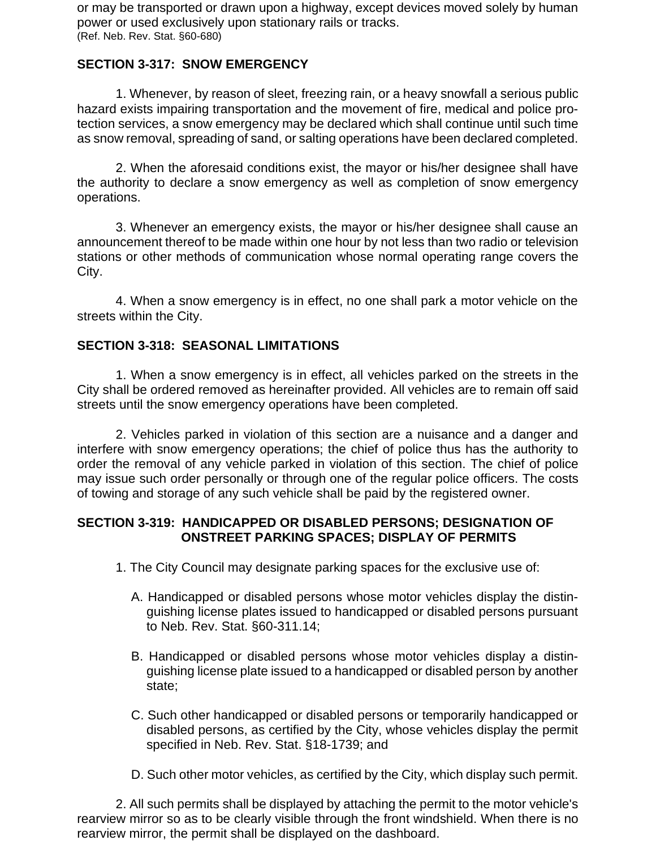or may be transported or drawn upon a highway, except devices moved solely by human power or used exclusively upon stationary rails or tracks. (Ref. Neb. Rev. Stat. §60-680)

# **SECTION 3-317: SNOW EMERGENCY**

1. Whenever, by reason of sleet, freezing rain, or a heavy snowfall a serious public hazard exists impairing transportation and the movement of fire, medical and police protection services, a snow emergency may be declared which shall continue until such time as snow removal, spreading of sand, or salting operations have been declared completed.

2. When the aforesaid conditions exist, the mayor or his/her designee shall have the authority to declare a snow emergency as well as completion of snow emergency operations.

3. Whenever an emergency exists, the mayor or his/her designee shall cause an announcement thereof to be made within one hour by not less than two radio or television stations or other methods of communication whose normal operating range covers the City.

4. When a snow emergency is in effect, no one shall park a motor vehicle on the streets within the City.

# **SECTION 3-318: SEASONAL LIMITATIONS**

1. When a snow emergency is in effect, all vehicles parked on the streets in the City shall be ordered removed as hereinafter provided. All vehicles are to remain off said streets until the snow emergency operations have been completed.

2. Vehicles parked in violation of this section are a nuisance and a danger and interfere with snow emergency operations; the chief of police thus has the authority to order the removal of any vehicle parked in violation of this section. The chief of police may issue such order personally or through one of the regular police officers. The costs of towing and storage of any such vehicle shall be paid by the registered owner.

## **SECTION 3-319: HANDICAPPED OR DISABLED PERSONS; DESIGNATION OF ONSTREET PARKING SPACES; DISPLAY OF PERMITS**

- 1. The City Council may designate parking spaces for the exclusive use of:
	- A. Handicapped or disabled persons whose motor vehicles display the distinguishing license plates issued to handicapped or disabled persons pursuant to Neb. Rev. Stat. §60-311.14;
	- B. Handicapped or disabled persons whose motor vehicles display a distinguishing license plate issued to a handicapped or disabled person by another state;
	- C. Such other handicapped or disabled persons or temporarily handicapped or disabled persons, as certified by the City, whose vehicles display the permit specified in Neb. Rev. Stat. §18-1739; and
	- D. Such other motor vehicles, as certified by the City, which display such permit.

2. All such permits shall be displayed by attaching the permit to the motor vehicle's rearview mirror so as to be clearly visible through the front windshield. When there is no rearview mirror, the permit shall be displayed on the dashboard.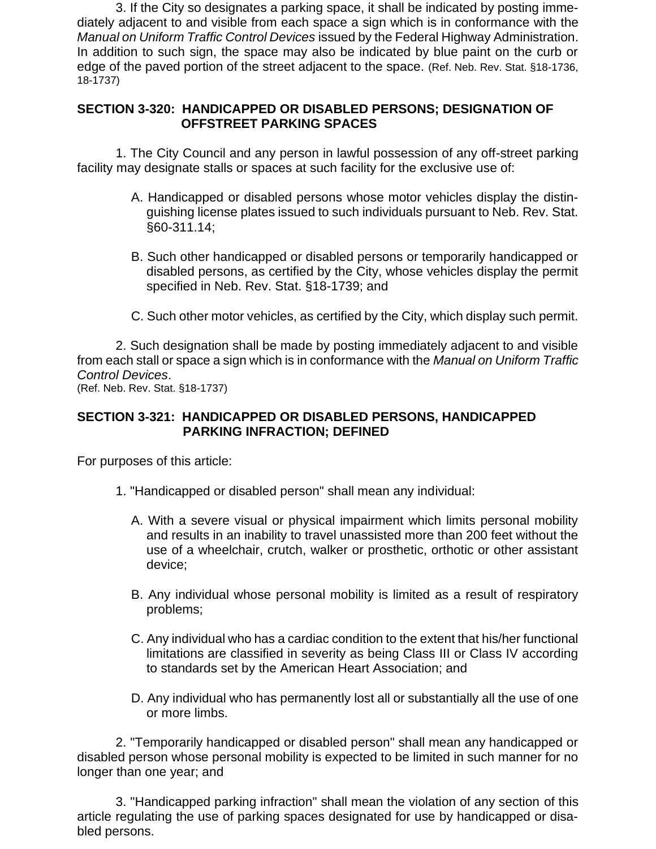3. If the City so designates a parking space, it shall be indicated by posting immediately adjacent to and visible from each space a sign which is in conformance with the *Manual on Uniform Traffic Control Devices* issued by the Federal Highway Administration. In addition to such sign, the space may also be indicated by blue paint on the curb or edge of the paved portion of the street adjacent to the space. (Ref. Neb. Rev. Stat. §18-1736, 18-1737)

## **SECTION 3-320: HANDICAPPED OR DISABLED PERSONS; DESIGNATION OF OFFSTREET PARKING SPACES**

1. The City Council and any person in lawful possession of any off-street parking facility may designate stalls or spaces at such facility for the exclusive use of:

- A. Handicapped or disabled persons whose motor vehicles display the distinguishing license plates issued to such individuals pursuant to Neb. Rev. Stat. §60-311.14;
- B. Such other handicapped or disabled persons or temporarily handicapped or disabled persons, as certified by the City, whose vehicles display the permit specified in Neb. Rev. Stat. §18-1739; and
- C. Such other motor vehicles, as certified by the City, which display such permit.

2. Such designation shall be made by posting immediately adjacent to and visible from each stall or space a sign which is in conformance with the *Manual on Uniform Traffic Control Devices*.

(Ref. Neb. Rev. Stat. §18-1737)

#### **SECTION 3-321: HANDICAPPED OR DISABLED PERSONS, HANDICAPPED PARKING INFRACTION; DEFINED**

For purposes of this article:

- 1. "Handicapped or disabled person" shall mean any individual:
	- A. With a severe visual or physical impairment which limits personal mobility and results in an inability to travel unassisted more than 200 feet without the use of a wheelchair, crutch, walker or prosthetic, orthotic or other assistant device;
	- B. Any individual whose personal mobility is limited as a result of respiratory problems;
	- C. Any individual who has a cardiac condition to the extent that his/her functional limitations are classified in severity as being Class III or Class IV according to standards set by the American Heart Association; and
	- D. Any individual who has permanently lost all or substantially all the use of one or more limbs.

2. "Temporarily handicapped or disabled person" shall mean any handicapped or disabled person whose personal mobility is expected to be limited in such manner for no longer than one year; and

3. "Handicapped parking infraction" shall mean the violation of any section of this article regulating the use of parking spaces designated for use by handicapped or disabled persons.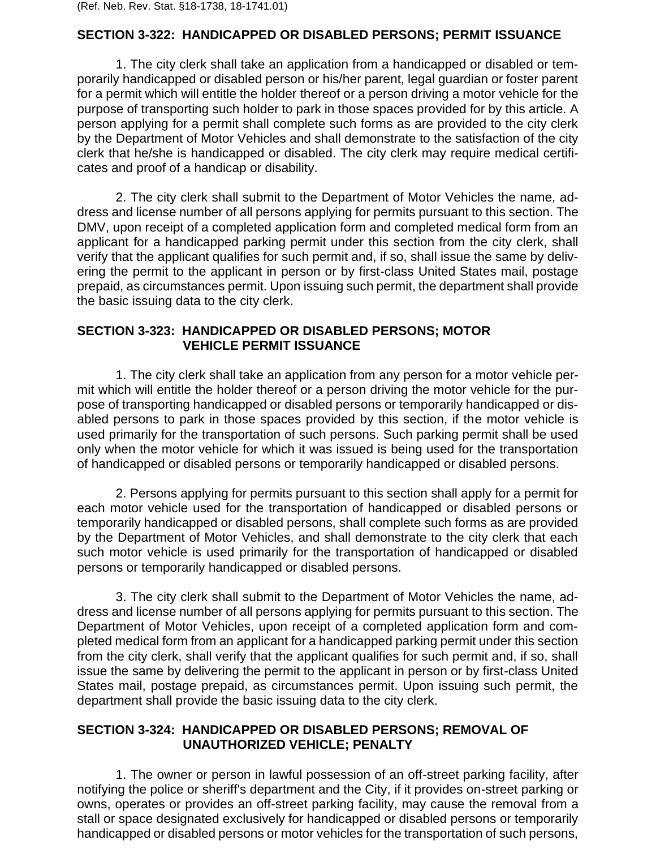(Ref. Neb. Rev. Stat. §18-1738, 18-1741.01)

#### **SECTION 3-322: HANDICAPPED OR DISABLED PERSONS; PERMIT ISSUANCE**

1. The city clerk shall take an application from a handicapped or disabled or temporarily handicapped or disabled person or his/her parent, legal guardian or foster parent for a permit which will entitle the holder thereof or a person driving a motor vehicle for the purpose of transporting such holder to park in those spaces provided for by this article. A person applying for a permit shall complete such forms as are provided to the city clerk by the Department of Motor Vehicles and shall demonstrate to the satisfaction of the city clerk that he/she is handicapped or disabled. The city clerk may require medical certificates and proof of a handicap or disability.

2. The city clerk shall submit to the Department of Motor Vehicles the name, address and license number of all persons applying for permits pursuant to this section. The DMV, upon receipt of a completed application form and completed medical form from an applicant for a handicapped parking permit under this section from the city clerk, shall verify that the applicant qualifies for such permit and, if so, shall issue the same by delivering the permit to the applicant in person or by first-class United States mail, postage prepaid, as circumstances permit. Upon issuing such permit, the department shall provide the basic issuing data to the city clerk.

#### **SECTION 3-323: HANDICAPPED OR DISABLED PERSONS; MOTOR VEHICLE PERMIT ISSUANCE**

1. The city clerk shall take an application from any person for a motor vehicle permit which will entitle the holder thereof or a person driving the motor vehicle for the purpose of transporting handicapped or disabled persons or temporarily handicapped or disabled persons to park in those spaces provided by this section, if the motor vehicle is used primarily for the transportation of such persons. Such parking permit shall be used only when the motor vehicle for which it was issued is being used for the transportation of handicapped or disabled persons or temporarily handicapped or disabled persons.

2. Persons applying for permits pursuant to this section shall apply for a permit for each motor vehicle used for the transportation of handicapped or disabled persons or temporarily handicapped or disabled persons, shall complete such forms as are provided by the Department of Motor Vehicles, and shall demonstrate to the city clerk that each such motor vehicle is used primarily for the transportation of handicapped or disabled persons or temporarily handicapped or disabled persons.

3. The city clerk shall submit to the Department of Motor Vehicles the name, address and license number of all persons applying for permits pursuant to this section. The Department of Motor Vehicles, upon receipt of a completed application form and completed medical form from an applicant for a handicapped parking permit under this section from the city clerk, shall verify that the applicant qualifies for such permit and, if so, shall issue the same by delivering the permit to the applicant in person or by first-class United States mail, postage prepaid, as circumstances permit. Upon issuing such permit, the department shall provide the basic issuing data to the city clerk.

#### **SECTION 3-324: HANDICAPPED OR DISABLED PERSONS; REMOVAL OF UNAUTHORIZED VEHICLE; PENALTY**

1. The owner or person in lawful possession of an off-street parking facility, after notifying the police or sheriff's department and the City, if it provides on-street parking or owns, operates or provides an off-street parking facility, may cause the removal from a stall or space designated exclusively for handicapped or disabled persons or temporarily handicapped or disabled persons or motor vehicles for the transportation of such persons,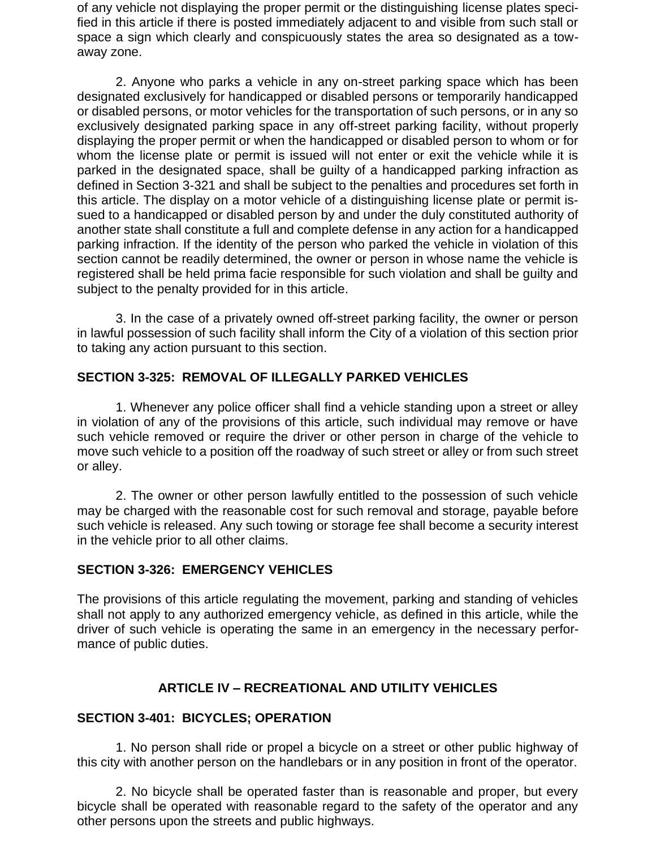of any vehicle not displaying the proper permit or the distinguishing license plates specified in this article if there is posted immediately adjacent to and visible from such stall or space a sign which clearly and conspicuously states the area so designated as a towaway zone.

2. Anyone who parks a vehicle in any on-street parking space which has been designated exclusively for handicapped or disabled persons or temporarily handicapped or disabled persons, or motor vehicles for the transportation of such persons, or in any so exclusively designated parking space in any off-street parking facility, without properly displaying the proper permit or when the handicapped or disabled person to whom or for whom the license plate or permit is issued will not enter or exit the vehicle while it is parked in the designated space, shall be guilty of a handicapped parking infraction as defined in Section 3-321 and shall be subject to the penalties and procedures set forth in this article. The display on a motor vehicle of a distinguishing license plate or permit issued to a handicapped or disabled person by and under the duly constituted authority of another state shall constitute a full and complete defense in any action for a handicapped parking infraction. If the identity of the person who parked the vehicle in violation of this section cannot be readily determined, the owner or person in whose name the vehicle is registered shall be held prima facie responsible for such violation and shall be guilty and subject to the penalty provided for in this article.

3. In the case of a privately owned off-street parking facility, the owner or person in lawful possession of such facility shall inform the City of a violation of this section prior to taking any action pursuant to this section.

# **SECTION 3-325: REMOVAL OF ILLEGALLY PARKED VEHICLES**

1. Whenever any police officer shall find a vehicle standing upon a street or alley in violation of any of the provisions of this article, such individual may remove or have such vehicle removed or require the driver or other person in charge of the vehicle to move such vehicle to a position off the roadway of such street or alley or from such street or alley.

2. The owner or other person lawfully entitled to the possession of such vehicle may be charged with the reasonable cost for such removal and storage, payable before such vehicle is released. Any such towing or storage fee shall become a security interest in the vehicle prior to all other claims.

## **SECTION 3-326: EMERGENCY VEHICLES**

The provisions of this article regulating the movement, parking and standing of vehicles shall not apply to any authorized emergency vehicle, as defined in this article, while the driver of such vehicle is operating the same in an emergency in the necessary performance of public duties.

## **ARTICLE IV – RECREATIONAL AND UTILITY VEHICLES**

#### **SECTION 3-401: BICYCLES; OPERATION**

1. No person shall ride or propel a bicycle on a street or other public highway of this city with another person on the handlebars or in any position in front of the operator.

2. No bicycle shall be operated faster than is reasonable and proper, but every bicycle shall be operated with reasonable regard to the safety of the operator and any other persons upon the streets and public highways.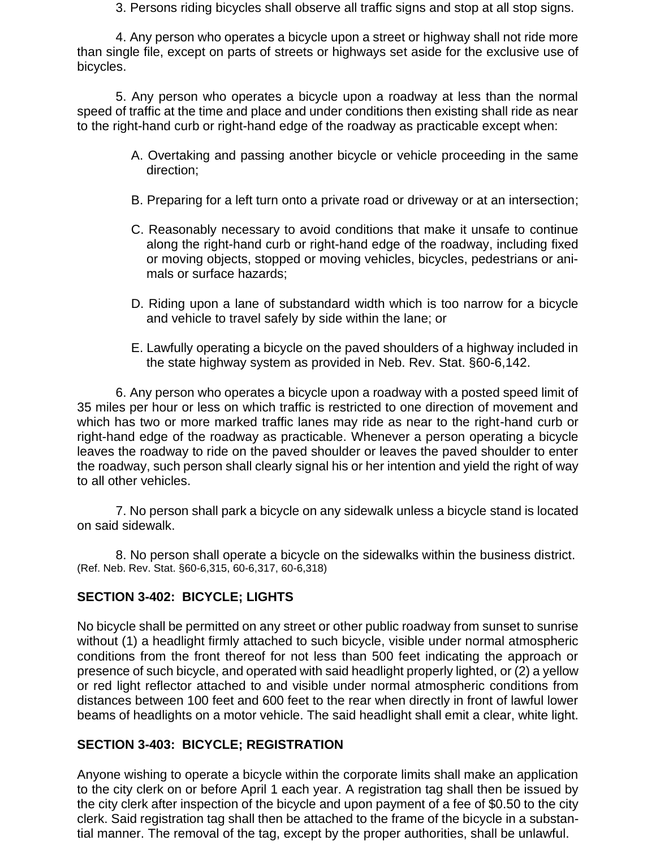3. Persons riding bicycles shall observe all traffic signs and stop at all stop signs.

4. Any person who operates a bicycle upon a street or highway shall not ride more than single file, except on parts of streets or highways set aside for the exclusive use of bicycles.

5. Any person who operates a bicycle upon a roadway at less than the normal speed of traffic at the time and place and under conditions then existing shall ride as near to the right-hand curb or right-hand edge of the roadway as practicable except when:

- A. Overtaking and passing another bicycle or vehicle proceeding in the same direction;
- B. Preparing for a left turn onto a private road or driveway or at an intersection;
- C. Reasonably necessary to avoid conditions that make it unsafe to continue along the right-hand curb or right-hand edge of the roadway, including fixed or moving objects, stopped or moving vehicles, bicycles, pedestrians or animals or surface hazards;
- D. Riding upon a lane of substandard width which is too narrow for a bicycle and vehicle to travel safely by side within the lane; or
- E. Lawfully operating a bicycle on the paved shoulders of a highway included in the state highway system as provided in Neb. Rev. Stat. §60-6,142.

6. Any person who operates a bicycle upon a roadway with a posted speed limit of 35 miles per hour or less on which traffic is restricted to one direction of movement and which has two or more marked traffic lanes may ride as near to the right-hand curb or right-hand edge of the roadway as practicable. Whenever a person operating a bicycle leaves the roadway to ride on the paved shoulder or leaves the paved shoulder to enter the roadway, such person shall clearly signal his or her intention and yield the right of way to all other vehicles.

7. No person shall park a bicycle on any sidewalk unless a bicycle stand is located on said sidewalk.

8. No person shall operate a bicycle on the sidewalks within the business district. (Ref. Neb. Rev. Stat. §60-6,315, 60-6,317, 60-6,318)

# **SECTION 3-402: BICYCLE; LIGHTS**

No bicycle shall be permitted on any street or other public roadway from sunset to sunrise without (1) a headlight firmly attached to such bicycle, visible under normal atmospheric conditions from the front thereof for not less than 500 feet indicating the approach or presence of such bicycle, and operated with said headlight properly lighted, or (2) a yellow or red light reflector attached to and visible under normal atmospheric conditions from distances between 100 feet and 600 feet to the rear when directly in front of lawful lower beams of headlights on a motor vehicle. The said headlight shall emit a clear, white light.

## **SECTION 3-403: BICYCLE; REGISTRATION**

Anyone wishing to operate a bicycle within the corporate limits shall make an application to the city clerk on or before April 1 each year. A registration tag shall then be issued by the city clerk after inspection of the bicycle and upon payment of a fee of \$0.50 to the city clerk. Said registration tag shall then be attached to the frame of the bicycle in a substantial manner. The removal of the tag, except by the proper authorities, shall be unlawful.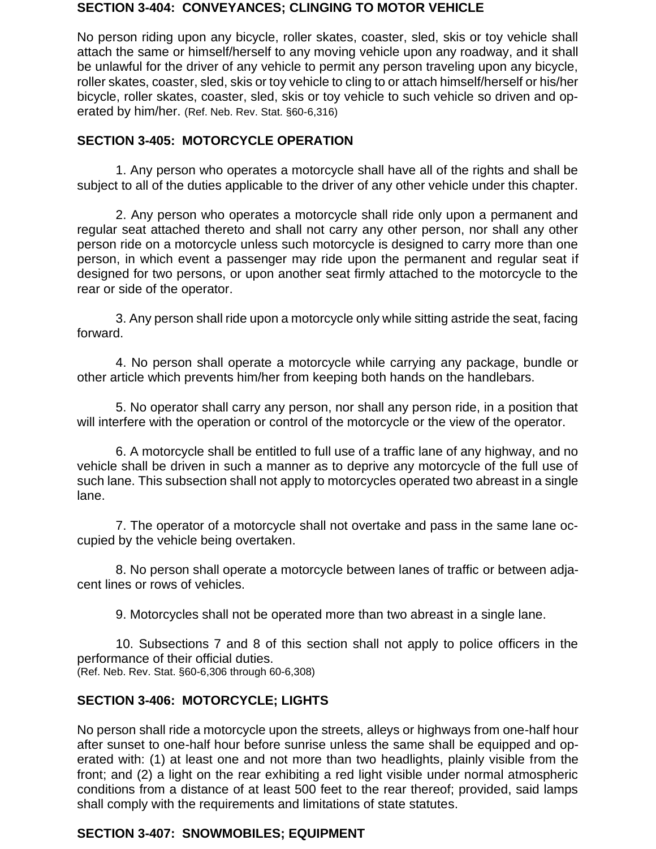#### **SECTION 3-404: CONVEYANCES; CLINGING TO MOTOR VEHICLE**

No person riding upon any bicycle, roller skates, coaster, sled, skis or toy vehicle shall attach the same or himself/herself to any moving vehicle upon any roadway, and it shall be unlawful for the driver of any vehicle to permit any person traveling upon any bicycle, roller skates, coaster, sled, skis or toy vehicle to cling to or attach himself/herself or his/her bicycle, roller skates, coaster, sled, skis or toy vehicle to such vehicle so driven and operated by him/her. (Ref. Neb. Rev. Stat. §60-6,316)

## **SECTION 3-405: MOTORCYCLE OPERATION**

1. Any person who operates a motorcycle shall have all of the rights and shall be subject to all of the duties applicable to the driver of any other vehicle under this chapter.

2. Any person who operates a motorcycle shall ride only upon a permanent and regular seat attached thereto and shall not carry any other person, nor shall any other person ride on a motorcycle unless such motorcycle is designed to carry more than one person, in which event a passenger may ride upon the permanent and regular seat if designed for two persons, or upon another seat firmly attached to the motorcycle to the rear or side of the operator.

3. Any person shall ride upon a motorcycle only while sitting astride the seat, facing forward.

4. No person shall operate a motorcycle while carrying any package, bundle or other article which prevents him/her from keeping both hands on the handlebars.

5. No operator shall carry any person, nor shall any person ride, in a position that will interfere with the operation or control of the motorcycle or the view of the operator.

6. A motorcycle shall be entitled to full use of a traffic lane of any highway, and no vehicle shall be driven in such a manner as to deprive any motorcycle of the full use of such lane. This subsection shall not apply to motorcycles operated two abreast in a single lane.

7. The operator of a motorcycle shall not overtake and pass in the same lane occupied by the vehicle being overtaken.

8. No person shall operate a motorcycle between lanes of traffic or between adjacent lines or rows of vehicles.

9. Motorcycles shall not be operated more than two abreast in a single lane.

10. Subsections 7 and 8 of this section shall not apply to police officers in the performance of their official duties. (Ref. Neb. Rev. Stat. §60-6,306 through 60-6,308)

# **SECTION 3-406: MOTORCYCLE; LIGHTS**

No person shall ride a motorcycle upon the streets, alleys or highways from one-half hour after sunset to one-half hour before sunrise unless the same shall be equipped and operated with: (1) at least one and not more than two headlights, plainly visible from the front; and (2) a light on the rear exhibiting a red light visible under normal atmospheric conditions from a distance of at least 500 feet to the rear thereof; provided, said lamps shall comply with the requirements and limitations of state statutes.

# **SECTION 3-407: SNOWMOBILES; EQUIPMENT**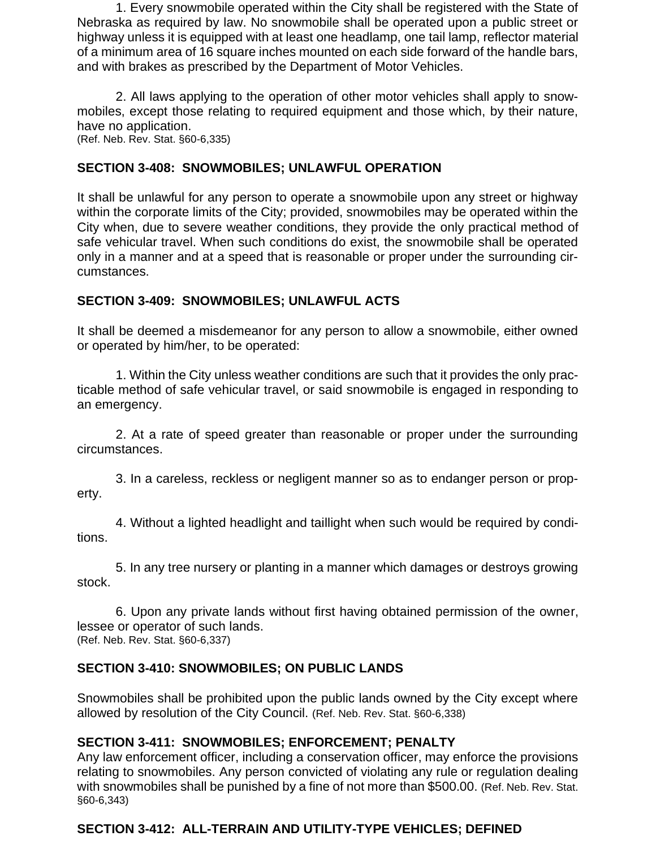1. Every snowmobile operated within the City shall be registered with the State of Nebraska as required by law. No snowmobile shall be operated upon a public street or highway unless it is equipped with at least one headlamp, one tail lamp, reflector material of a minimum area of 16 square inches mounted on each side forward of the handle bars, and with brakes as prescribed by the Department of Motor Vehicles.

2. All laws applying to the operation of other motor vehicles shall apply to snowmobiles, except those relating to required equipment and those which, by their nature, have no application.

(Ref. Neb. Rev. Stat. §60-6,335)

# **SECTION 3-408: SNOWMOBILES; UNLAWFUL OPERATION**

It shall be unlawful for any person to operate a snowmobile upon any street or highway within the corporate limits of the City; provided, snowmobiles may be operated within the City when, due to severe weather conditions, they provide the only practical method of safe vehicular travel. When such conditions do exist, the snowmobile shall be operated only in a manner and at a speed that is reasonable or proper under the surrounding circumstances.

# **SECTION 3-409: SNOWMOBILES; UNLAWFUL ACTS**

It shall be deemed a misdemeanor for any person to allow a snowmobile, either owned or operated by him/her, to be operated:

1. Within the City unless weather conditions are such that it provides the only practicable method of safe vehicular travel, or said snowmobile is engaged in responding to an emergency.

2. At a rate of speed greater than reasonable or proper under the surrounding circumstances.

3. In a careless, reckless or negligent manner so as to endanger person or property.

4. Without a lighted headlight and taillight when such would be required by conditions.

5. In any tree nursery or planting in a manner which damages or destroys growing stock.

6. Upon any private lands without first having obtained permission of the owner, lessee or operator of such lands. (Ref. Neb. Rev. Stat. §60-6,337)

# **SECTION 3-410: SNOWMOBILES; ON PUBLIC LANDS**

Snowmobiles shall be prohibited upon the public lands owned by the City except where allowed by resolution of the City Council. (Ref. Neb. Rev. Stat. §60-6,338)

# **SECTION 3-411: SNOWMOBILES; ENFORCEMENT; PENALTY**

Any law enforcement officer, including a conservation officer, may enforce the provisions relating to snowmobiles. Any person convicted of violating any rule or regulation dealing with snowmobiles shall be punished by a fine of not more than \$500.00. (Ref. Neb. Rev. Stat. §60-6,343)

# **SECTION 3-412: ALL-TERRAIN AND UTILITY-TYPE VEHICLES; DEFINED**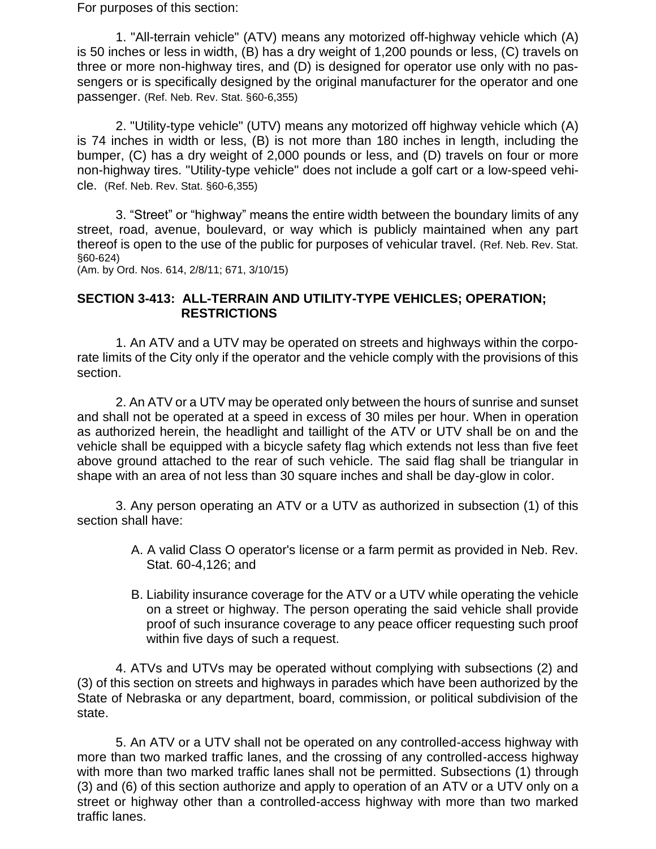For purposes of this section:

1. "All-terrain vehicle" (ATV) means any motorized off-highway vehicle which (A) is 50 inches or less in width, (B) has a dry weight of 1,200 pounds or less, (C) travels on three or more non-highway tires, and (D) is designed for operator use only with no passengers or is specifically designed by the original manufacturer for the operator and one passenger. (Ref. Neb. Rev. Stat. §60-6,355)

2. "Utility-type vehicle" (UTV) means any motorized off highway vehicle which (A) is 74 inches in width or less, (B) is not more than 180 inches in length, including the bumper, (C) has a dry weight of 2,000 pounds or less, and (D) travels on four or more non-highway tires. "Utility-type vehicle" does not include a golf cart or a low-speed vehicle. (Ref. Neb. Rev. Stat. §60-6,355)

3. "Street" or "highway" means the entire width between the boundary limits of any street, road, avenue, boulevard, or way which is publicly maintained when any part thereof is open to the use of the public for purposes of vehicular travel. (Ref. Neb. Rev. Stat. §60-624)

(Am. by Ord. Nos. 614, 2/8/11; 671, 3/10/15)

#### **SECTION 3-413: ALL-TERRAIN AND UTILITY-TYPE VEHICLES; OPERATION; RESTRICTIONS**

1. An ATV and a UTV may be operated on streets and highways within the corporate limits of the City only if the operator and the vehicle comply with the provisions of this section.

2. An ATV or a UTV may be operated only between the hours of sunrise and sunset and shall not be operated at a speed in excess of 30 miles per hour. When in operation as authorized herein, the headlight and taillight of the ATV or UTV shall be on and the vehicle shall be equipped with a bicycle safety flag which extends not less than five feet above ground attached to the rear of such vehicle. The said flag shall be triangular in shape with an area of not less than 30 square inches and shall be day-glow in color.

3. Any person operating an ATV or a UTV as authorized in subsection (1) of this section shall have:

- A. A valid Class O operator's license or a farm permit as provided in Neb. Rev. Stat. 60-4,126; and
- B. Liability insurance coverage for the ATV or a UTV while operating the vehicle on a street or highway. The person operating the said vehicle shall provide proof of such insurance coverage to any peace officer requesting such proof within five days of such a request.

4. ATVs and UTVs may be operated without complying with subsections (2) and (3) of this section on streets and highways in parades which have been authorized by the State of Nebraska or any department, board, commission, or political subdivision of the state.

5. An ATV or a UTV shall not be operated on any controlled-access highway with more than two marked traffic lanes, and the crossing of any controlled-access highway with more than two marked traffic lanes shall not be permitted. Subsections (1) through (3) and (6) of this section authorize and apply to operation of an ATV or a UTV only on a street or highway other than a controlled-access highway with more than two marked traffic lanes.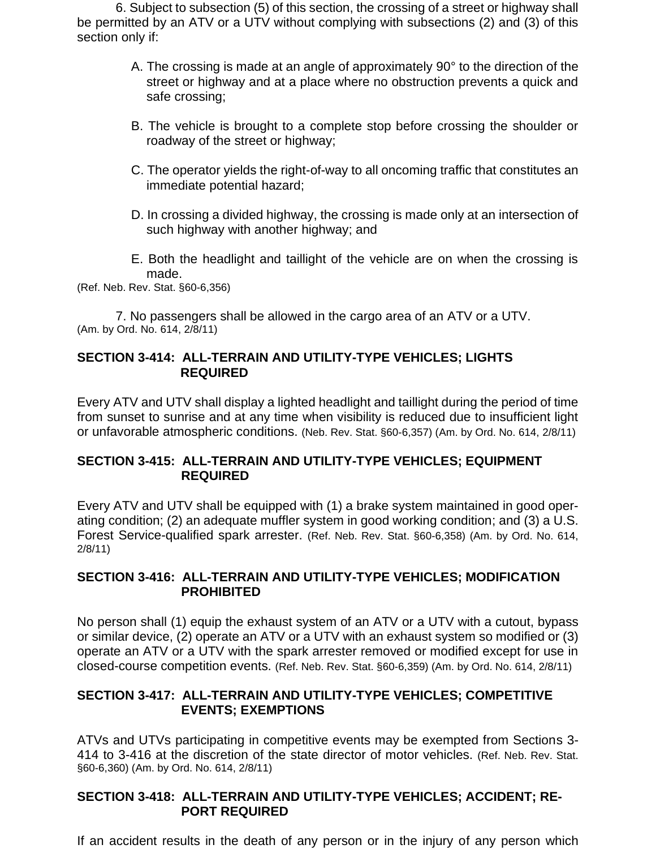6. Subject to subsection (5) of this section, the crossing of a street or highway shall be permitted by an ATV or a UTV without complying with subsections (2) and (3) of this section only if:

- A. The crossing is made at an angle of approximately 90° to the direction of the street or highway and at a place where no obstruction prevents a quick and safe crossing;
- B. The vehicle is brought to a complete stop before crossing the shoulder or roadway of the street or highway;
- C. The operator yields the right-of-way to all oncoming traffic that constitutes an immediate potential hazard;
- D. In crossing a divided highway, the crossing is made only at an intersection of such highway with another highway; and
- E. Both the headlight and taillight of the vehicle are on when the crossing is made.

(Ref. Neb. Rev. Stat. §60-6,356)

7. No passengers shall be allowed in the cargo area of an ATV or a UTV. (Am. by Ord. No. 614, 2/8/11)

## **SECTION 3-414: ALL-TERRAIN AND UTILITY-TYPE VEHICLES; LIGHTS REQUIRED**

Every ATV and UTV shall display a lighted headlight and taillight during the period of time from sunset to sunrise and at any time when visibility is reduced due to insufficient light or unfavorable atmospheric conditions. (Neb. Rev. Stat. §60-6,357) (Am. by Ord. No. 614, 2/8/11)

## **SECTION 3-415: ALL-TERRAIN AND UTILITY-TYPE VEHICLES; EQUIPMENT REQUIRED**

Every ATV and UTV shall be equipped with (1) a brake system maintained in good operating condition; (2) an adequate muffler system in good working condition; and (3) a U.S. Forest Service-qualified spark arrester. (Ref. Neb. Rev. Stat. §60-6,358) (Am. by Ord. No. 614, 2/8/11)

# **SECTION 3-416: ALL-TERRAIN AND UTILITY-TYPE VEHICLES; MODIFICATION PROHIBITED**

No person shall (1) equip the exhaust system of an ATV or a UTV with a cutout, bypass or similar device, (2) operate an ATV or a UTV with an exhaust system so modified or (3) operate an ATV or a UTV with the spark arrester removed or modified except for use in closed-course competition events. (Ref. Neb. Rev. Stat. §60-6,359) (Am. by Ord. No. 614, 2/8/11)

# **SECTION 3-417: ALL-TERRAIN AND UTILITY-TYPE VEHICLES; COMPETITIVE EVENTS; EXEMPTIONS**

ATVs and UTVs participating in competitive events may be exempted from Sections 3- 414 to 3-416 at the discretion of the state director of motor vehicles. (Ref. Neb. Rev. Stat. §60-6,360) (Am. by Ord. No. 614, 2/8/11)

## **SECTION 3-418: ALL-TERRAIN AND UTILITY-TYPE VEHICLES; ACCIDENT; RE-PORT REQUIRED**

If an accident results in the death of any person or in the injury of any person which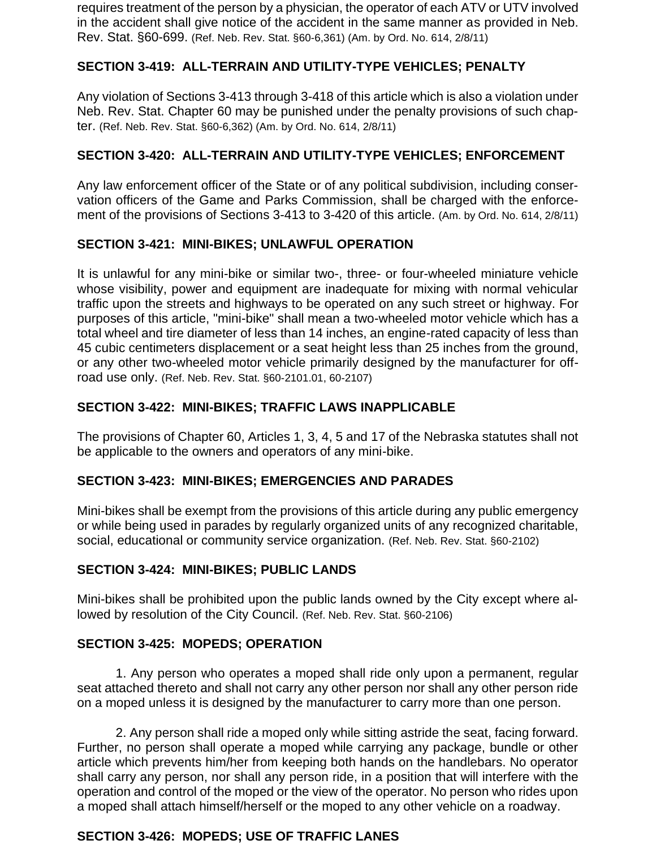requires treatment of the person by a physician, the operator of each ATV or UTV involved in the accident shall give notice of the accident in the same manner as provided in Neb. Rev. Stat. §60-699. (Ref. Neb. Rev. Stat. §60-6,361) (Am. by Ord. No. 614, 2/8/11)

# **SECTION 3-419: ALL-TERRAIN AND UTILITY-TYPE VEHICLES; PENALTY**

Any violation of Sections 3-413 through 3-418 of this article which is also a violation under Neb. Rev. Stat. Chapter 60 may be punished under the penalty provisions of such chapter. (Ref. Neb. Rev. Stat. §60-6,362) (Am. by Ord. No. 614, 2/8/11)

## **SECTION 3-420: ALL-TERRAIN AND UTILITY-TYPE VEHICLES; ENFORCEMENT**

Any law enforcement officer of the State or of any political subdivision, including conservation officers of the Game and Parks Commission, shall be charged with the enforcement of the provisions of Sections 3-413 to 3-420 of this article. (Am. by Ord. No. 614, 2/8/11)

## **SECTION 3-421: MINI-BIKES; UNLAWFUL OPERATION**

It is unlawful for any mini-bike or similar two-, three- or four-wheeled miniature vehicle whose visibility, power and equipment are inadequate for mixing with normal vehicular traffic upon the streets and highways to be operated on any such street or highway. For purposes of this article, "mini-bike" shall mean a two-wheeled motor vehicle which has a total wheel and tire diameter of less than 14 inches, an engine-rated capacity of less than 45 cubic centimeters displacement or a seat height less than 25 inches from the ground, or any other two-wheeled motor vehicle primarily designed by the manufacturer for offroad use only. (Ref. Neb. Rev. Stat. §60-2101.01, 60-2107)

## **SECTION 3-422: MINI-BIKES; TRAFFIC LAWS INAPPLICABLE**

The provisions of Chapter 60, Articles 1, 3, 4, 5 and 17 of the Nebraska statutes shall not be applicable to the owners and operators of any mini-bike.

## **SECTION 3-423: MINI-BIKES; EMERGENCIES AND PARADES**

Mini-bikes shall be exempt from the provisions of this article during any public emergency or while being used in parades by regularly organized units of any recognized charitable, social, educational or community service organization. (Ref. Neb. Rev. Stat. §60-2102)

## **SECTION 3-424: MINI-BIKES; PUBLIC LANDS**

Mini-bikes shall be prohibited upon the public lands owned by the City except where allowed by resolution of the City Council. (Ref. Neb. Rev. Stat. §60-2106)

## **SECTION 3-425: MOPEDS; OPERATION**

1. Any person who operates a moped shall ride only upon a permanent, regular seat attached thereto and shall not carry any other person nor shall any other person ride on a moped unless it is designed by the manufacturer to carry more than one person.

2. Any person shall ride a moped only while sitting astride the seat, facing forward. Further, no person shall operate a moped while carrying any package, bundle or other article which prevents him/her from keeping both hands on the handlebars. No operator shall carry any person, nor shall any person ride, in a position that will interfere with the operation and control of the moped or the view of the operator. No person who rides upon a moped shall attach himself/herself or the moped to any other vehicle on a roadway.

# **SECTION 3-426: MOPEDS; USE OF TRAFFIC LANES**